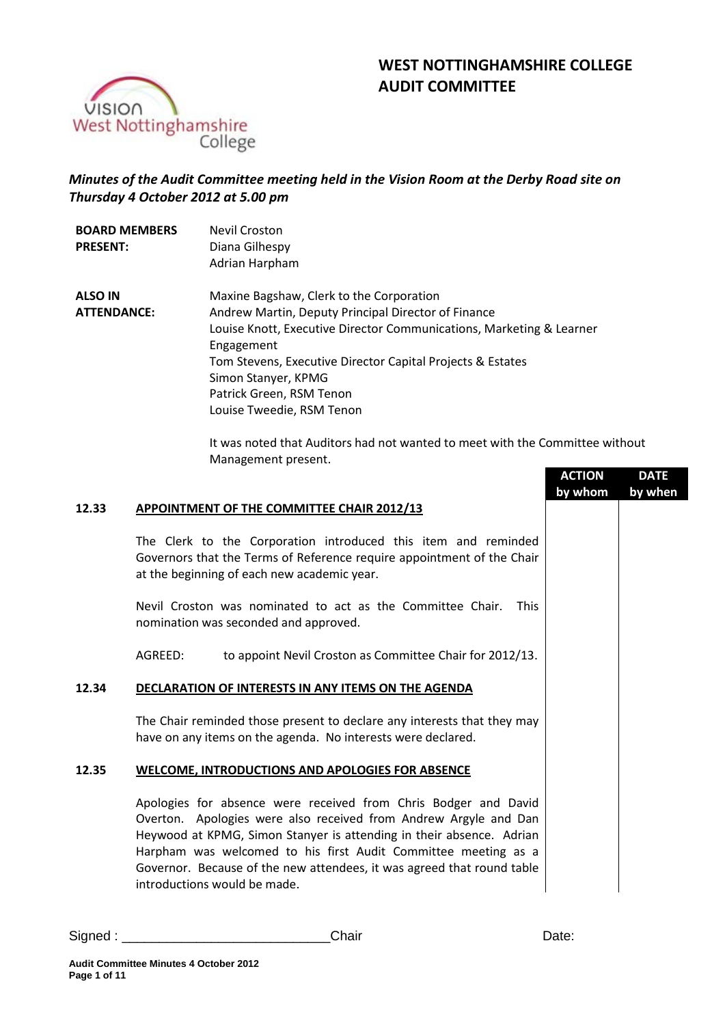# **WEST NOTTINGHAMSHIRE COLLEGE AUDIT COMMITTEE**



## *Minutes of the Audit Committee meeting held in the Vision Room at the Derby Road site on Thursday 4 October 2012 at 5.00 pm*

**BOARD MEMBERS PRESENT:** Nevil Croston Diana Gilhespy Adrian Harpham **ALSO IN ATTENDANCE:** Maxine Bagshaw, Clerk to the Corporation Andrew Martin, Deputy Principal Director of Finance Louise Knott, Executive Director Communications, Marketing & Learner Engagement Tom Stevens, Executive Director Capital Projects & Estates Simon Stanyer, KPMG Patrick Green, RSM Tenon Louise Tweedie, RSM Tenon

> It was noted that Auditors had not wanted to meet with the Committee without Management present.

|       |                                                                                                                                                                                                                                                                                                                                                                                         | <b>ACTION</b><br>by whom | <b>DATE</b><br>by when |
|-------|-----------------------------------------------------------------------------------------------------------------------------------------------------------------------------------------------------------------------------------------------------------------------------------------------------------------------------------------------------------------------------------------|--------------------------|------------------------|
| 12.33 | APPOINTMENT OF THE COMMITTEE CHAIR 2012/13                                                                                                                                                                                                                                                                                                                                              |                          |                        |
|       | The Clerk to the Corporation introduced this item and reminded<br>Governors that the Terms of Reference require appointment of the Chair<br>at the beginning of each new academic year.                                                                                                                                                                                                 |                          |                        |
|       | Nevil Croston was nominated to act as the Committee Chair.<br><b>This</b><br>nomination was seconded and approved.                                                                                                                                                                                                                                                                      |                          |                        |
|       | AGREED:<br>to appoint Nevil Croston as Committee Chair for 2012/13.                                                                                                                                                                                                                                                                                                                     |                          |                        |
| 12.34 | DECLARATION OF INTERESTS IN ANY ITEMS ON THE AGENDA                                                                                                                                                                                                                                                                                                                                     |                          |                        |
|       | The Chair reminded those present to declare any interests that they may<br>have on any items on the agenda. No interests were declared.                                                                                                                                                                                                                                                 |                          |                        |
| 12.35 | <b>WELCOME, INTRODUCTIONS AND APOLOGIES FOR ABSENCE</b>                                                                                                                                                                                                                                                                                                                                 |                          |                        |
|       | Apologies for absence were received from Chris Bodger and David<br>Overton. Apologies were also received from Andrew Argyle and Dan<br>Heywood at KPMG, Simon Stanyer is attending in their absence. Adrian<br>Harpham was welcomed to his first Audit Committee meeting as a<br>Governor. Because of the new attendees, it was agreed that round table<br>introductions would be made. |                          |                        |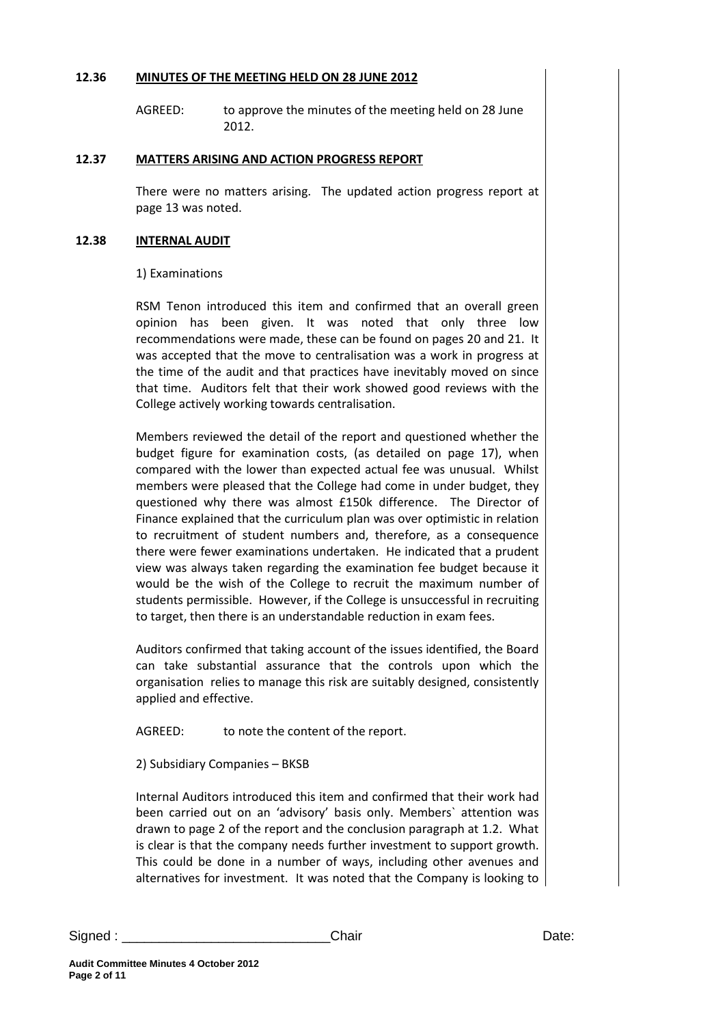### **12.36 MINUTES OF THE MEETING HELD ON 28 JUNE 2012**

AGREED: to approve the minutes of the meeting held on 28 June 2012.

#### **12.37 MATTERS ARISING AND ACTION PROGRESS REPORT**

There were no matters arising. The updated action progress report at page 13 was noted.

#### **12.38 INTERNAL AUDIT**

#### 1) Examinations

RSM Tenon introduced this item and confirmed that an overall green opinion has been given. It was noted that only three low recommendations were made, these can be found on pages 20 and 21. It was accepted that the move to centralisation was a work in progress at the time of the audit and that practices have inevitably moved on since that time. Auditors felt that their work showed good reviews with the College actively working towards centralisation.

Members reviewed the detail of the report and questioned whether the budget figure for examination costs, (as detailed on page 17), when compared with the lower than expected actual fee was unusual. Whilst members were pleased that the College had come in under budget, they questioned why there was almost £150k difference. The Director of Finance explained that the curriculum plan was over optimistic in relation to recruitment of student numbers and, therefore, as a consequence there were fewer examinations undertaken. He indicated that a prudent view was always taken regarding the examination fee budget because it would be the wish of the College to recruit the maximum number of students permissible. However, if the College is unsuccessful in recruiting to target, then there is an understandable reduction in exam fees.

Auditors confirmed that taking account of the issues identified, the Board can take substantial assurance that the controls upon which the organisation relies to manage this risk are suitably designed, consistently applied and effective.

AGREED: to note the content of the report.

2) Subsidiary Companies – BKSB

Internal Auditors introduced this item and confirmed that their work had been carried out on an 'advisory' basis only. Members` attention was drawn to page 2 of the report and the conclusion paragraph at 1.2. What is clear is that the company needs further investment to support growth. This could be done in a number of ways, including other avenues and alternatives for investment. It was noted that the Company is looking to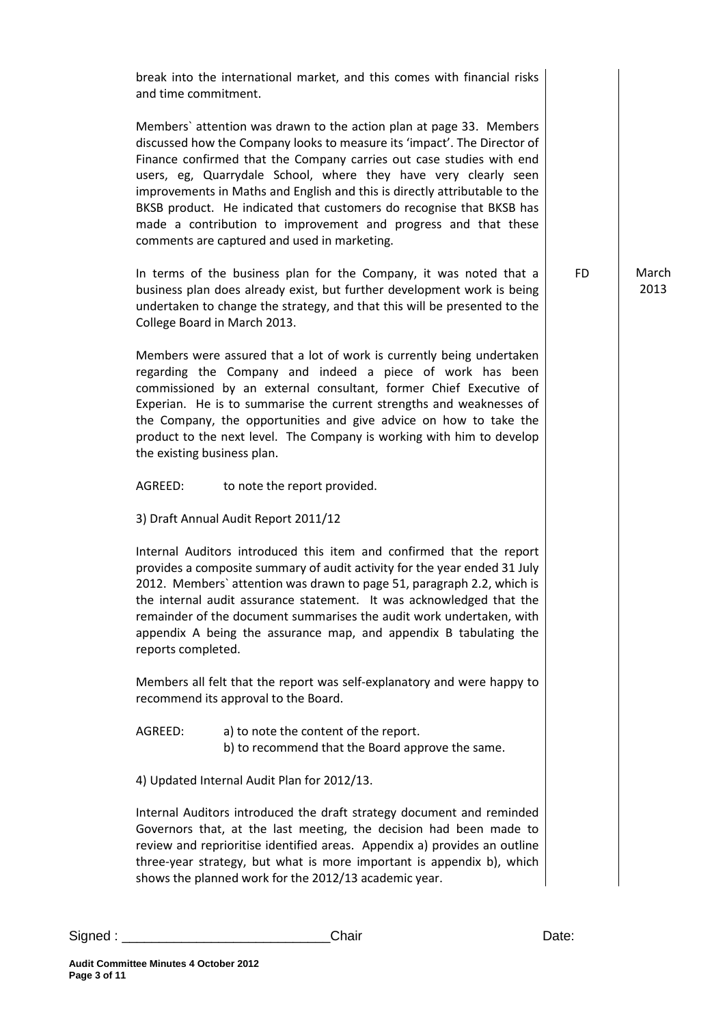and time commitment. Members` attention was drawn to the action plan at page 33. Members discussed how the Company looks to measure its 'impact'. The Director of Finance confirmed that the Company carries out case studies with end users, eg, Quarrydale School, where they have very clearly seen improvements in Maths and English and this is directly attributable to the BKSB product. He indicated that customers do recognise that BKSB has made a contribution to improvement and progress and that these comments are captured and used in marketing. In terms of the business plan for the Company, it was noted that a business plan does already exist, but further development work is being undertaken to change the strategy, and that this will be presented to the College Board in March 2013. Members were assured that a lot of work is currently being undertaken regarding the Company and indeed a piece of work has been commissioned by an external consultant, former Chief Executive of Experian. He is to summarise the current strengths and weaknesses of the Company, the opportunities and give advice on how to take the product to the next level. The Company is working with him to develop the existing business plan. AGREED: to note the report provided. 3) Draft Annual Audit Report 2011/12 Internal Auditors introduced this item and confirmed that the report provides a composite summary of audit activity for the year ended 31 July 2012. Members` attention was drawn to page 51, paragraph 2.2, which is the internal audit assurance statement. It was acknowledged that the remainder of the document summarises the audit work undertaken, with appendix A being the assurance map, and appendix B tabulating the reports completed.

break into the international market, and this comes with financial risks

Members all felt that the report was self-explanatory and were happy to recommend its approval to the Board.

AGREED: a) to note the content of the report. b) to recommend that the Board approve the same.

4) Updated Internal Audit Plan for 2012/13.

Internal Auditors introduced the draft strategy document and reminded Governors that, at the last meeting, the decision had been made to review and reprioritise identified areas. Appendix a) provides an outline three-year strategy, but what is more important is appendix b), which shows the planned work for the 2012/13 academic year.

Signed : \_\_\_\_\_\_\_\_\_\_\_\_\_\_\_\_\_\_\_\_\_\_\_\_\_\_\_\_Chair Date:

FD March

2013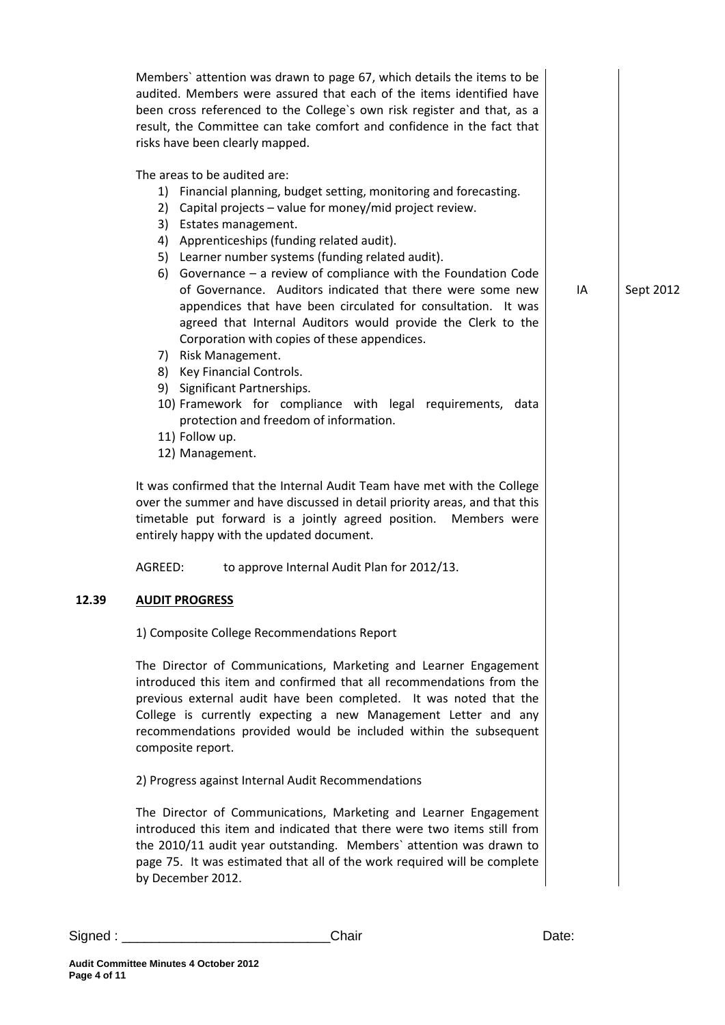|       | Members' attention was drawn to page 67, which details the items to be<br>audited. Members were assured that each of the items identified have<br>been cross referenced to the College's own risk register and that, as a<br>result, the Committee can take comfort and confidence in the fact that<br>risks have been clearly mapped.                                                                                                                                                                                                                                                                                                                                                                                                                                                                                                               |    |           |
|-------|------------------------------------------------------------------------------------------------------------------------------------------------------------------------------------------------------------------------------------------------------------------------------------------------------------------------------------------------------------------------------------------------------------------------------------------------------------------------------------------------------------------------------------------------------------------------------------------------------------------------------------------------------------------------------------------------------------------------------------------------------------------------------------------------------------------------------------------------------|----|-----------|
|       | The areas to be audited are:<br>1) Financial planning, budget setting, monitoring and forecasting.<br>2) Capital projects – value for money/mid project review.<br>3) Estates management.<br>4) Apprenticeships (funding related audit).<br>5) Learner number systems (funding related audit).<br>6) Governance $-$ a review of compliance with the Foundation Code<br>of Governance. Auditors indicated that there were some new<br>appendices that have been circulated for consultation. It was<br>agreed that Internal Auditors would provide the Clerk to the<br>Corporation with copies of these appendices.<br>7) Risk Management.<br>8) Key Financial Controls.<br>9) Significant Partnerships.<br>10) Framework for compliance with legal requirements, data<br>protection and freedom of information.<br>11) Follow up.<br>12) Management. | IA | Sept 2012 |
|       | It was confirmed that the Internal Audit Team have met with the College<br>over the summer and have discussed in detail priority areas, and that this<br>timetable put forward is a jointly agreed position. Members were<br>entirely happy with the updated document.                                                                                                                                                                                                                                                                                                                                                                                                                                                                                                                                                                               |    |           |
|       | AGREED:<br>to approve Internal Audit Plan for 2012/13.                                                                                                                                                                                                                                                                                                                                                                                                                                                                                                                                                                                                                                                                                                                                                                                               |    |           |
| 12.39 | <b>AUDIT PROGRESS</b>                                                                                                                                                                                                                                                                                                                                                                                                                                                                                                                                                                                                                                                                                                                                                                                                                                |    |           |
|       | 1) Composite College Recommendations Report                                                                                                                                                                                                                                                                                                                                                                                                                                                                                                                                                                                                                                                                                                                                                                                                          |    |           |
|       | The Director of Communications, Marketing and Learner Engagement<br>introduced this item and confirmed that all recommendations from the<br>previous external audit have been completed. It was noted that the<br>College is currently expecting a new Management Letter and any<br>recommendations provided would be included within the subsequent<br>composite report.                                                                                                                                                                                                                                                                                                                                                                                                                                                                            |    |           |
|       | 2) Progress against Internal Audit Recommendations                                                                                                                                                                                                                                                                                                                                                                                                                                                                                                                                                                                                                                                                                                                                                                                                   |    |           |
|       | The Director of Communications, Marketing and Learner Engagement<br>introduced this item and indicated that there were two items still from<br>the 2010/11 audit year outstanding. Members' attention was drawn to<br>page 75. It was estimated that all of the work required will be complete<br>by December 2012.                                                                                                                                                                                                                                                                                                                                                                                                                                                                                                                                  |    |           |
|       |                                                                                                                                                                                                                                                                                                                                                                                                                                                                                                                                                                                                                                                                                                                                                                                                                                                      |    |           |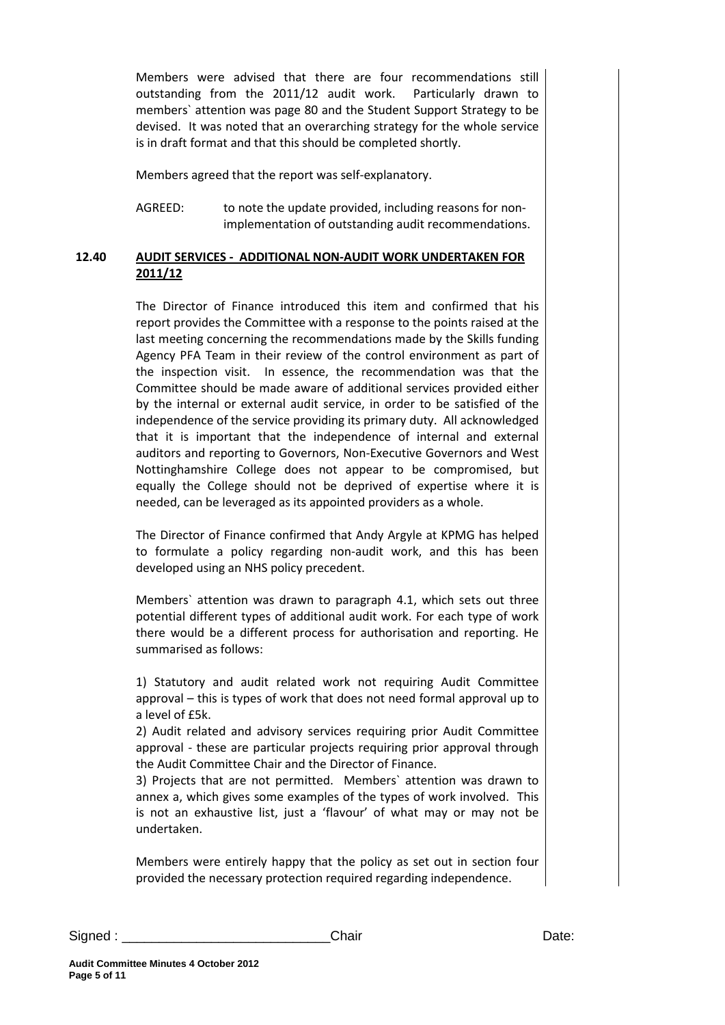Members were advised that there are four recommendations still outstanding from the 2011/12 audit work. Particularly drawn to members` attention was page 80 and the Student Support Strategy to be devised. It was noted that an overarching strategy for the whole service is in draft format and that this should be completed shortly.

Members agreed that the report was self-explanatory.

AGREED: to note the update provided, including reasons for nonimplementation of outstanding audit recommendations.

## **12.40 AUDIT SERVICES - ADDITIONAL NON-AUDIT WORK UNDERTAKEN FOR 2011/12**

The Director of Finance introduced this item and confirmed that his report provides the Committee with a response to the points raised at the last meeting concerning the recommendations made by the Skills funding Agency PFA Team in their review of the control environment as part of the inspection visit. In essence, the recommendation was that the Committee should be made aware of additional services provided either by the internal or external audit service, in order to be satisfied of the independence of the service providing its primary duty. All acknowledged that it is important that the independence of internal and external auditors and reporting to Governors, Non-Executive Governors and West Nottinghamshire College does not appear to be compromised, but equally the College should not be deprived of expertise where it is needed, can be leveraged as its appointed providers as a whole.

The Director of Finance confirmed that Andy Argyle at KPMG has helped to formulate a policy regarding non-audit work, and this has been developed using an NHS policy precedent.

Members` attention was drawn to paragraph 4.1, which sets out three potential different types of additional audit work. For each type of work there would be a different process for authorisation and reporting. He summarised as follows:

1) Statutory and audit related work not requiring Audit Committee approval – this is types of work that does not need formal approval up to a level of £5k.

2) Audit related and advisory services requiring prior Audit Committee approval - these are particular projects requiring prior approval through the Audit Committee Chair and the Director of Finance.

3) Projects that are not permitted. Members` attention was drawn to annex a, which gives some examples of the types of work involved. This is not an exhaustive list, just a 'flavour' of what may or may not be undertaken.

Members were entirely happy that the policy as set out in section four provided the necessary protection required regarding independence.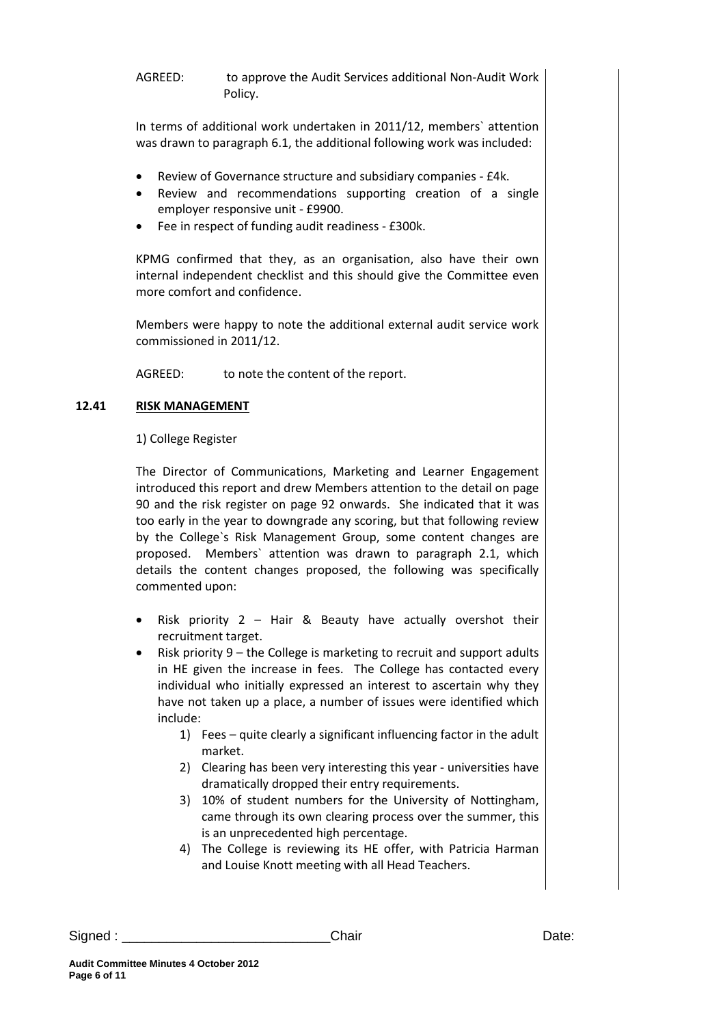## AGREED: to approve the Audit Services additional Non-Audit Work Policy.

In terms of additional work undertaken in 2011/12, members` attention was drawn to paragraph 6.1, the additional following work was included:

- Review of Governance structure and subsidiary companies £4k.
- Review and recommendations supporting creation of a single employer responsive unit - £9900.
- Fee in respect of funding audit readiness £300k.

KPMG confirmed that they, as an organisation, also have their own internal independent checklist and this should give the Committee even more comfort and confidence.

Members were happy to note the additional external audit service work commissioned in 2011/12.

AGREED: to note the content of the report.

## **12.41 RISK MANAGEMENT**

1) College Register

The Director of Communications, Marketing and Learner Engagement introduced this report and drew Members attention to the detail on page 90 and the risk register on page 92 onwards. She indicated that it was too early in the year to downgrade any scoring, but that following review by the College`s Risk Management Group, some content changes are proposed. Members` attention was drawn to paragraph 2.1, which details the content changes proposed, the following was specifically commented upon:

- Risk priority 2 Hair & Beauty have actually overshot their recruitment target.
- Risk priority 9 the College is marketing to recruit and support adults in HE given the increase in fees. The College has contacted every individual who initially expressed an interest to ascertain why they have not taken up a place, a number of issues were identified which include:
	- 1) Fees quite clearly a significant influencing factor in the adult market.
	- 2) Clearing has been very interesting this year universities have dramatically dropped their entry requirements.
	- 3) 10% of student numbers for the University of Nottingham, came through its own clearing process over the summer, this is an unprecedented high percentage.
	- 4) The College is reviewing its HE offer, with Patricia Harman and Louise Knott meeting with all Head Teachers.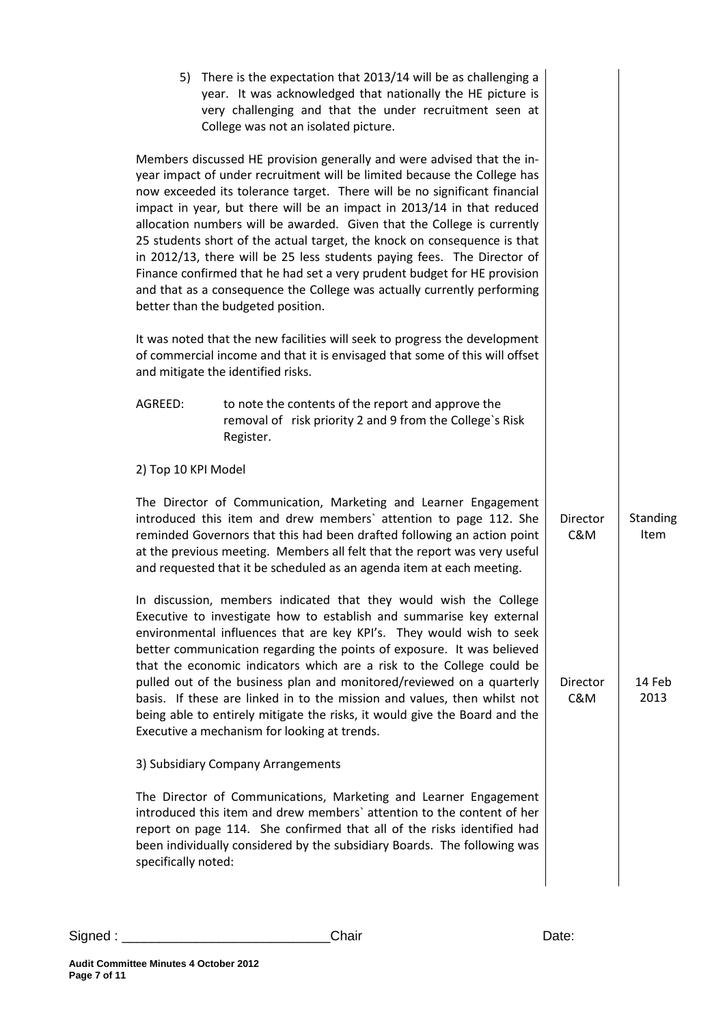|                     | 5) There is the expectation that 2013/14 will be as challenging a<br>year. It was acknowledged that nationally the HE picture is<br>very challenging and that the under recruitment seen at<br>College was not an isolated picture.                                                                                                                                                                                                                                                                                                                                                                                                                                                                                                      |                 |                         |
|---------------------|------------------------------------------------------------------------------------------------------------------------------------------------------------------------------------------------------------------------------------------------------------------------------------------------------------------------------------------------------------------------------------------------------------------------------------------------------------------------------------------------------------------------------------------------------------------------------------------------------------------------------------------------------------------------------------------------------------------------------------------|-----------------|-------------------------|
|                     | Members discussed HE provision generally and were advised that the in-<br>year impact of under recruitment will be limited because the College has<br>now exceeded its tolerance target. There will be no significant financial<br>impact in year, but there will be an impact in 2013/14 in that reduced<br>allocation numbers will be awarded. Given that the College is currently<br>25 students short of the actual target, the knock on consequence is that<br>in 2012/13, there will be 25 less students paying fees. The Director of<br>Finance confirmed that he had set a very prudent budget for HE provision<br>and that as a consequence the College was actually currently performing<br>better than the budgeted position. |                 |                         |
|                     | It was noted that the new facilities will seek to progress the development<br>of commercial income and that it is envisaged that some of this will offset<br>and mitigate the identified risks.                                                                                                                                                                                                                                                                                                                                                                                                                                                                                                                                          |                 |                         |
| AGREED:             | to note the contents of the report and approve the<br>removal of risk priority 2 and 9 from the College's Risk<br>Register.                                                                                                                                                                                                                                                                                                                                                                                                                                                                                                                                                                                                              |                 |                         |
| 2) Top 10 KPI Model |                                                                                                                                                                                                                                                                                                                                                                                                                                                                                                                                                                                                                                                                                                                                          |                 |                         |
|                     | The Director of Communication, Marketing and Learner Engagement<br>introduced this item and drew members' attention to page 112. She<br>reminded Governors that this had been drafted following an action point<br>at the previous meeting. Members all felt that the report was very useful<br>and requested that it be scheduled as an agenda item at each meeting.                                                                                                                                                                                                                                                                                                                                                                    | Director<br>C&M | Standing<br><b>Item</b> |
|                     | In discussion, members indicated that they would wish the College<br>Executive to investigate how to establish and summarise key external<br>environmental influences that are key KPI's. They would wish to seek<br>better communication regarding the points of exposure. It was believed<br>that the economic indicators which are a risk to the College could be<br>pulled out of the business plan and monitored/reviewed on a quarterly<br>basis. If these are linked in to the mission and values, then whilst not<br>being able to entirely mitigate the risks, it would give the Board and the<br>Executive a mechanism for looking at trends.                                                                                  | Director<br>C&M | 14 Feb<br>2013          |
|                     | 3) Subsidiary Company Arrangements                                                                                                                                                                                                                                                                                                                                                                                                                                                                                                                                                                                                                                                                                                       |                 |                         |
| specifically noted: | The Director of Communications, Marketing and Learner Engagement<br>introduced this item and drew members' attention to the content of her<br>report on page 114. She confirmed that all of the risks identified had<br>been individually considered by the subsidiary Boards. The following was                                                                                                                                                                                                                                                                                                                                                                                                                                         |                 |                         |
|                     |                                                                                                                                                                                                                                                                                                                                                                                                                                                                                                                                                                                                                                                                                                                                          |                 |                         |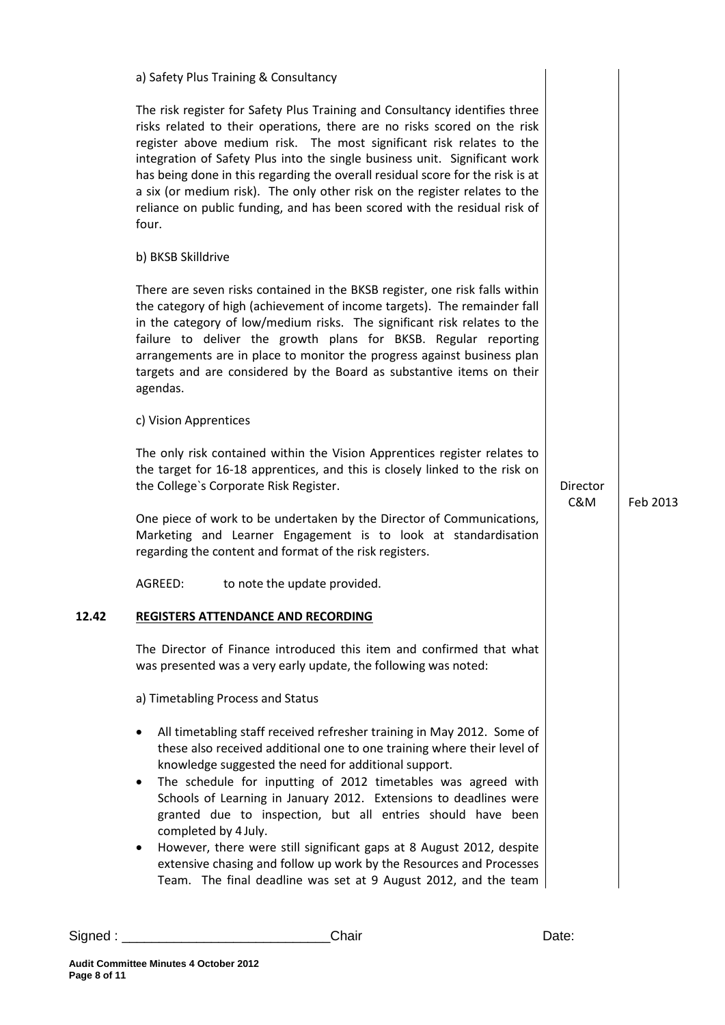|       | a) Safety Plus Training & Consultancy                                                                                                                                                                                                                                                                                                                                                                                                                                                                                                                                                                                                                              |                 |          |
|-------|--------------------------------------------------------------------------------------------------------------------------------------------------------------------------------------------------------------------------------------------------------------------------------------------------------------------------------------------------------------------------------------------------------------------------------------------------------------------------------------------------------------------------------------------------------------------------------------------------------------------------------------------------------------------|-----------------|----------|
|       | The risk register for Safety Plus Training and Consultancy identifies three<br>risks related to their operations, there are no risks scored on the risk<br>register above medium risk. The most significant risk relates to the<br>integration of Safety Plus into the single business unit. Significant work<br>has being done in this regarding the overall residual score for the risk is at<br>a six (or medium risk). The only other risk on the register relates to the<br>reliance on public funding, and has been scored with the residual risk of<br>four.                                                                                                | Director<br>C&M | Feb 2013 |
|       | b) BKSB Skilldrive                                                                                                                                                                                                                                                                                                                                                                                                                                                                                                                                                                                                                                                 |                 |          |
|       | There are seven risks contained in the BKSB register, one risk falls within<br>the category of high (achievement of income targets). The remainder fall<br>in the category of low/medium risks. The significant risk relates to the<br>failure to deliver the growth plans for BKSB. Regular reporting<br>arrangements are in place to monitor the progress against business plan<br>targets and are considered by the Board as substantive items on their<br>agendas.                                                                                                                                                                                             |                 |          |
|       | c) Vision Apprentices                                                                                                                                                                                                                                                                                                                                                                                                                                                                                                                                                                                                                                              |                 |          |
|       | The only risk contained within the Vision Apprentices register relates to<br>the target for 16-18 apprentices, and this is closely linked to the risk on<br>the College's Corporate Risk Register.                                                                                                                                                                                                                                                                                                                                                                                                                                                                 |                 |          |
|       | One piece of work to be undertaken by the Director of Communications,<br>Marketing and Learner Engagement is to look at standardisation<br>regarding the content and format of the risk registers.                                                                                                                                                                                                                                                                                                                                                                                                                                                                 |                 |          |
|       | AGREED:<br>to note the update provided.                                                                                                                                                                                                                                                                                                                                                                                                                                                                                                                                                                                                                            |                 |          |
| 12.42 | <b>REGISTERS ATTENDANCE AND RECORDING</b>                                                                                                                                                                                                                                                                                                                                                                                                                                                                                                                                                                                                                          |                 |          |
|       | The Director of Finance introduced this item and confirmed that what<br>was presented was a very early update, the following was noted:                                                                                                                                                                                                                                                                                                                                                                                                                                                                                                                            |                 |          |
|       | a) Timetabling Process and Status                                                                                                                                                                                                                                                                                                                                                                                                                                                                                                                                                                                                                                  |                 |          |
|       | All timetabling staff received refresher training in May 2012. Some of<br>these also received additional one to one training where their level of<br>knowledge suggested the need for additional support.<br>The schedule for inputting of 2012 timetables was agreed with<br>٠<br>Schools of Learning in January 2012. Extensions to deadlines were<br>granted due to inspection, but all entries should have been<br>completed by 4 July.<br>However, there were still significant gaps at 8 August 2012, despite<br>٠<br>extensive chasing and follow up work by the Resources and Processes<br>Team. The final deadline was set at 9 August 2012, and the team |                 |          |
|       |                                                                                                                                                                                                                                                                                                                                                                                                                                                                                                                                                                                                                                                                    |                 |          |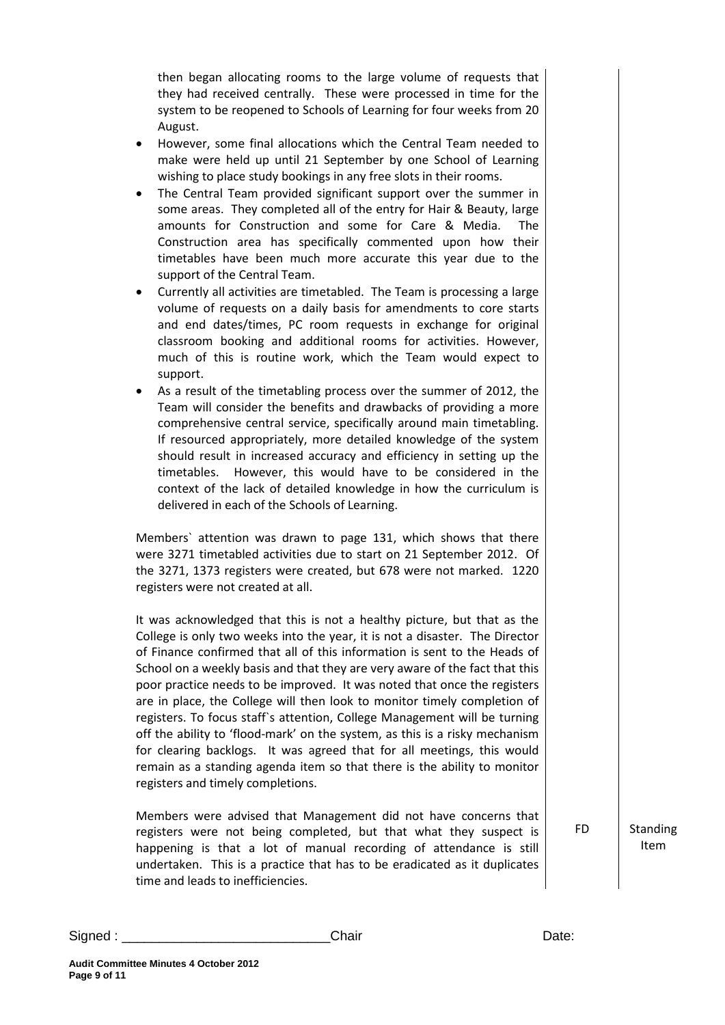then began allocating rooms to the large volume of requests that they had received centrally. These were processed in time for the system to be reopened to Schools of Learning for four weeks from 20 August.

- However, some final allocations which the Central Team needed to make were held up until 21 September by one School of Learning wishing to place study bookings in any free slots in their rooms.
- The Central Team provided significant support over the summer in some areas. They completed all of the entry for Hair & Beauty, large amounts for Construction and some for Care & Media. The Construction area has specifically commented upon how their timetables have been much more accurate this year due to the support of the Central Team.
- Currently all activities are timetabled. The Team is processing a large volume of requests on a daily basis for amendments to core starts and end dates/times, PC room requests in exchange for original classroom booking and additional rooms for activities. However, much of this is routine work, which the Team would expect to support.
- As a result of the timetabling process over the summer of 2012, the Team will consider the benefits and drawbacks of providing a more comprehensive central service, specifically around main timetabling. If resourced appropriately, more detailed knowledge of the system should result in increased accuracy and efficiency in setting up the timetables. However, this would have to be considered in the context of the lack of detailed knowledge in how the curriculum is delivered in each of the Schools of Learning.

Members` attention was drawn to page 131, which shows that there were 3271 timetabled activities due to start on 21 September 2012. Of the 3271, 1373 registers were created, but 678 were not marked. 1220 registers were not created at all.

It was acknowledged that this is not a healthy picture, but that as the College is only two weeks into the year, it is not a disaster. The Director of Finance confirmed that all of this information is sent to the Heads of School on a weekly basis and that they are very aware of the fact that this poor practice needs to be improved. It was noted that once the registers are in place, the College will then look to monitor timely completion of registers. To focus staff`s attention, College Management will be turning off the ability to 'flood-mark' on the system, as this is a risky mechanism for clearing backlogs. It was agreed that for all meetings, this would remain as a standing agenda item so that there is the ability to monitor registers and timely completions.

Members were advised that Management did not have concerns that registers were not being completed, but that what they suspect is happening is that a lot of manual recording of attendance is still undertaken. This is a practice that has to be eradicated as it duplicates time and leads to inefficiencies.

**Page 9 of 11**

**Audit Committee Minutes 4 October 2012**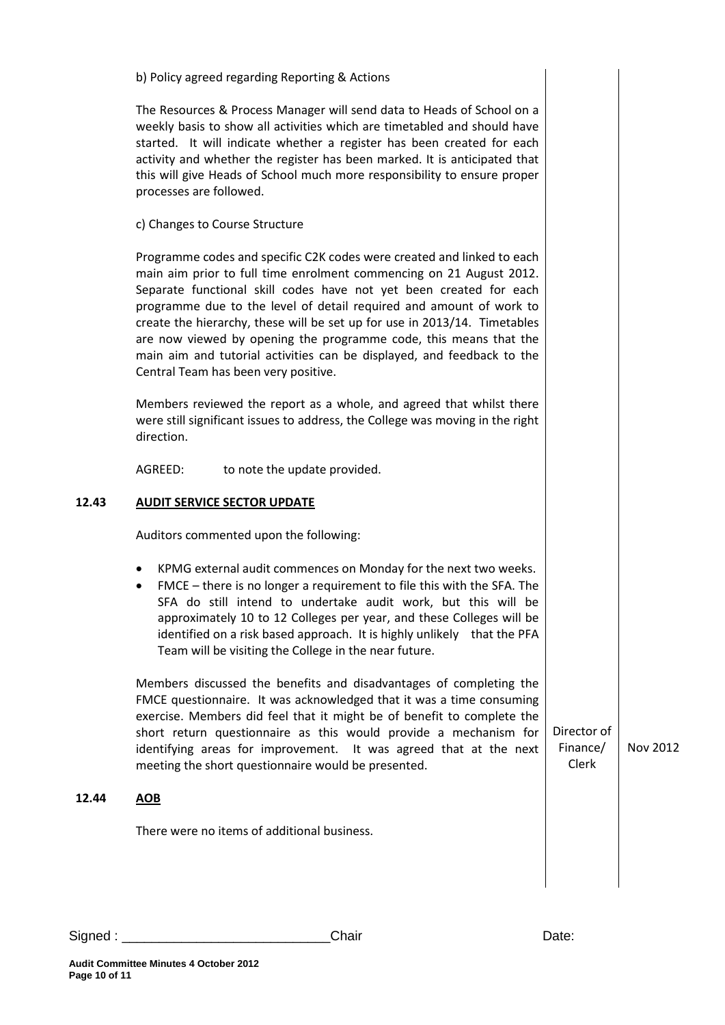|       | b) Policy agreed regarding Reporting & Actions                                                                                                                                                                                                                                                                                                                                                                                                                                                                                                                 |                                  |          |
|-------|----------------------------------------------------------------------------------------------------------------------------------------------------------------------------------------------------------------------------------------------------------------------------------------------------------------------------------------------------------------------------------------------------------------------------------------------------------------------------------------------------------------------------------------------------------------|----------------------------------|----------|
|       | The Resources & Process Manager will send data to Heads of School on a<br>weekly basis to show all activities which are timetabled and should have<br>started. It will indicate whether a register has been created for each<br>activity and whether the register has been marked. It is anticipated that<br>this will give Heads of School much more responsibility to ensure proper<br>processes are followed.                                                                                                                                               |                                  |          |
|       | c) Changes to Course Structure                                                                                                                                                                                                                                                                                                                                                                                                                                                                                                                                 |                                  |          |
|       | Programme codes and specific C2K codes were created and linked to each<br>main aim prior to full time enrolment commencing on 21 August 2012.<br>Separate functional skill codes have not yet been created for each<br>programme due to the level of detail required and amount of work to<br>create the hierarchy, these will be set up for use in 2013/14. Timetables<br>are now viewed by opening the programme code, this means that the<br>main aim and tutorial activities can be displayed, and feedback to the<br>Central Team has been very positive. |                                  |          |
|       | Members reviewed the report as a whole, and agreed that whilst there<br>were still significant issues to address, the College was moving in the right<br>direction.                                                                                                                                                                                                                                                                                                                                                                                            |                                  |          |
|       | AGREED:<br>to note the update provided.                                                                                                                                                                                                                                                                                                                                                                                                                                                                                                                        |                                  |          |
| 12.43 | <b>AUDIT SERVICE SECTOR UPDATE</b>                                                                                                                                                                                                                                                                                                                                                                                                                                                                                                                             |                                  |          |
|       | Auditors commented upon the following:                                                                                                                                                                                                                                                                                                                                                                                                                                                                                                                         |                                  |          |
|       | KPMG external audit commences on Monday for the next two weeks.<br>FMCE - there is no longer a requirement to file this with the SFA. The<br>SFA do still intend to undertake audit work, but this will be<br>approximately 10 to 12 Colleges per year, and these Colleges will be<br>identified on a risk based approach. It is highly unlikely that the PFA<br>Team will be visiting the College in the near future.                                                                                                                                         |                                  |          |
|       | Members discussed the benefits and disadvantages of completing the<br>FMCE questionnaire. It was acknowledged that it was a time consuming<br>exercise. Members did feel that it might be of benefit to complete the<br>short return questionnaire as this would provide a mechanism for<br>identifying areas for improvement. It was agreed that at the next<br>meeting the short questionnaire would be presented.                                                                                                                                           | Director of<br>Finance/<br>Clerk | Nov 2012 |
| 12.44 | <b>AOB</b>                                                                                                                                                                                                                                                                                                                                                                                                                                                                                                                                                     |                                  |          |
|       | There were no items of additional business.                                                                                                                                                                                                                                                                                                                                                                                                                                                                                                                    |                                  |          |
|       |                                                                                                                                                                                                                                                                                                                                                                                                                                                                                                                                                                |                                  |          |
|       |                                                                                                                                                                                                                                                                                                                                                                                                                                                                                                                                                                |                                  |          |